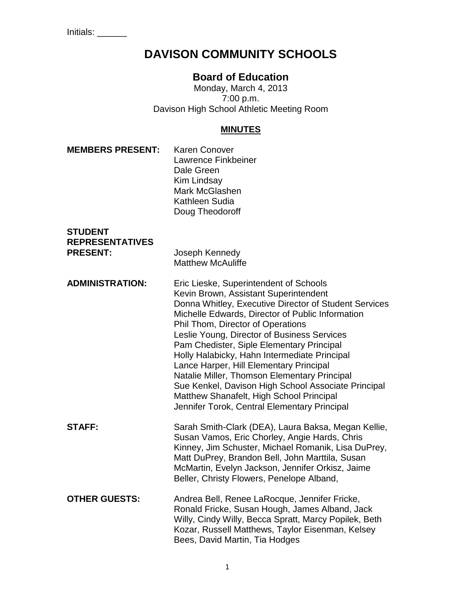# **DAVISON COMMUNITY SCHOOLS**

# **Board of Education**

Monday, March 4, 2013 7:00 p.m. Davison High School Athletic Meeting Room

# **MINUTES**

| <b>MEMBERS PRESENT:</b>                                     | <b>Karen Conover</b><br><b>Lawrence Finkbeiner</b><br>Dale Green<br><b>Kim Lindsay</b><br>Mark McGlashen<br>Kathleen Sudia<br>Doug Theodoroff                                                                                                                                                                                                                                                                                                                                                                                                                                                                               |
|-------------------------------------------------------------|-----------------------------------------------------------------------------------------------------------------------------------------------------------------------------------------------------------------------------------------------------------------------------------------------------------------------------------------------------------------------------------------------------------------------------------------------------------------------------------------------------------------------------------------------------------------------------------------------------------------------------|
| <b>STUDENT</b><br><b>REPRESENTATIVES</b><br><b>PRESENT:</b> | Joseph Kennedy<br><b>Matthew McAuliffe</b>                                                                                                                                                                                                                                                                                                                                                                                                                                                                                                                                                                                  |
| <b>ADMINISTRATION:</b>                                      | Eric Lieske, Superintendent of Schools<br>Kevin Brown, Assistant Superintendent<br>Donna Whitley, Executive Director of Student Services<br>Michelle Edwards, Director of Public Information<br>Phil Thom, Director of Operations<br>Leslie Young, Director of Business Services<br>Pam Chedister, Siple Elementary Principal<br>Holly Halabicky, Hahn Intermediate Principal<br>Lance Harper, Hill Elementary Principal<br>Natalie Miller, Thomson Elementary Principal<br>Sue Kenkel, Davison High School Associate Principal<br>Matthew Shanafelt, High School Principal<br>Jennifer Torok, Central Elementary Principal |
| <b>STAFF:</b>                                               | Sarah Smith-Clark (DEA), Laura Baksa, Megan Kellie,<br>Susan Vamos, Eric Chorley, Angie Hards, Chris<br>Kinney, Jim Schuster, Michael Romanik, Lisa DuPrey,<br>Matt DuPrey, Brandon Bell, John Marttila, Susan<br>McMartin, Evelyn Jackson, Jennifer Orkisz, Jaime<br>Beller, Christy Flowers, Penelope Alband,                                                                                                                                                                                                                                                                                                             |
| <b>OTHER GUESTS:</b>                                        | Andrea Bell, Renee LaRocque, Jennifer Fricke,<br>Ronald Fricke, Susan Hough, James Alband, Jack<br>Willy, Cindy Willy, Becca Spratt, Marcy Popilek, Beth<br>Kozar, Russell Matthews, Taylor Eisenman, Kelsey<br>Bees, David Martin, Tia Hodges                                                                                                                                                                                                                                                                                                                                                                              |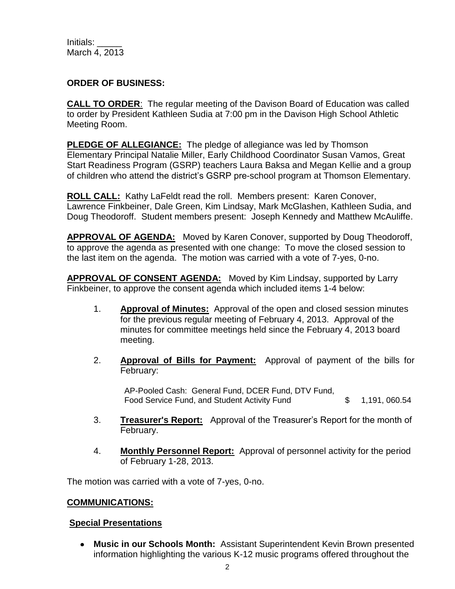#### **ORDER OF BUSINESS:**

**CALL TO ORDER**: The regular meeting of the Davison Board of Education was called to order by President Kathleen Sudia at 7:00 pm in the Davison High School Athletic Meeting Room.

**PLEDGE OF ALLEGIANCE:** The pledge of allegiance was led by Thomson Elementary Principal Natalie Miller, Early Childhood Coordinator Susan Vamos, Great Start Readiness Program (GSRP) teachers Laura Baksa and Megan Kellie and a group of children who attend the district's GSRP pre-school program at Thomson Elementary.

**ROLL CALL:** Kathy LaFeldt read the roll. Members present: Karen Conover, Lawrence Finkbeiner, Dale Green, Kim Lindsay, Mark McGlashen, Kathleen Sudia, and Doug Theodoroff. Student members present: Joseph Kennedy and Matthew McAuliffe.

**APPROVAL OF AGENDA:** Moved by Karen Conover, supported by Doug Theodoroff, to approve the agenda as presented with one change: To move the closed session to the last item on the agenda. The motion was carried with a vote of 7-yes, 0-no.

**APPROVAL OF CONSENT AGENDA:** Moved by Kim Lindsay, supported by Larry Finkbeiner, to approve the consent agenda which included items 1-4 below:

- 1. **Approval of Minutes:** Approval of the open and closed session minutes for the previous regular meeting of February 4, 2013. Approval of the minutes for committee meetings held since the February 4, 2013 board meeting.
- 2. **Approval of Bills for Payment:** Approval of payment of the bills for February:

AP-Pooled Cash: General Fund, DCER Fund, DTV Fund, Food Service Fund, and Student Activity Fund  $$ 1,191,060.54$ 

- 3. **Treasurer's Report:** Approval of the Treasurer's Report for the month of February.
- 4. **Monthly Personnel Report:** Approval of personnel activity for the period of February 1-28, 2013.

The motion was carried with a vote of 7-yes, 0-no.

#### **COMMUNICATIONS:**

#### **Special Presentations**

**Music in our Schools Month:** Assistant Superintendent Kevin Brown presented information highlighting the various K-12 music programs offered throughout the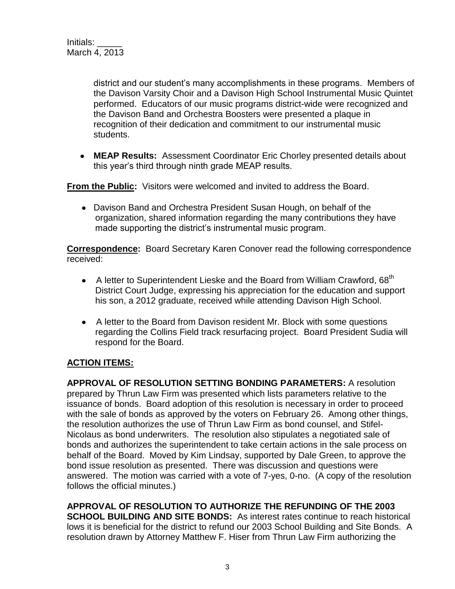district and our student's many accomplishments in these programs. Members of the Davison Varsity Choir and a Davison High School Instrumental Music Quintet performed. Educators of our music programs district-wide were recognized and the Davison Band and Orchestra Boosters were presented a plaque in recognition of their dedication and commitment to our instrumental music students.

**MEAP Results:** Assessment Coordinator Eric Chorley presented details about this year's third through ninth grade MEAP results.

**From the Public:** Visitors were welcomed and invited to address the Board.

Davison Band and Orchestra President Susan Hough, on behalf of the organization, shared information regarding the many contributions they have made supporting the district's instrumental music program.

**Correspondence:** Board Secretary Karen Conover read the following correspondence received:

- A letter to Superintendent Lieske and the Board from William Crawford, 68<sup>th</sup>  $\bullet$ District Court Judge, expressing his appreciation for the education and support his son, a 2012 graduate, received while attending Davison High School.
- A letter to the Board from Davison resident Mr. Block with some questions regarding the Collins Field track resurfacing project. Board President Sudia will respond for the Board.

# **ACTION ITEMS:**

**APPROVAL OF RESOLUTION SETTING BONDING PARAMETERS:** A resolution prepared by Thrun Law Firm was presented which lists parameters relative to the issuance of bonds. Board adoption of this resolution is necessary in order to proceed with the sale of bonds as approved by the voters on February 26. Among other things, the resolution authorizes the use of Thrun Law Firm as bond counsel, and Stifel-Nicolaus as bond underwriters. The resolution also stipulates a negotiated sale of bonds and authorizes the superintendent to take certain actions in the sale process on behalf of the Board. Moved by Kim Lindsay, supported by Dale Green, to approve the bond issue resolution as presented. There was discussion and questions were answered. The motion was carried with a vote of 7-yes, 0-no. (A copy of the resolution follows the official minutes.)

**APPROVAL OF RESOLUTION TO AUTHORIZE THE REFUNDING OF THE 2003 SCHOOL BUILDING AND SITE BONDS:** As interest rates continue to reach historical lows it is beneficial for the district to refund our 2003 School Building and Site Bonds. A resolution drawn by Attorney Matthew F. Hiser from Thrun Law Firm authorizing the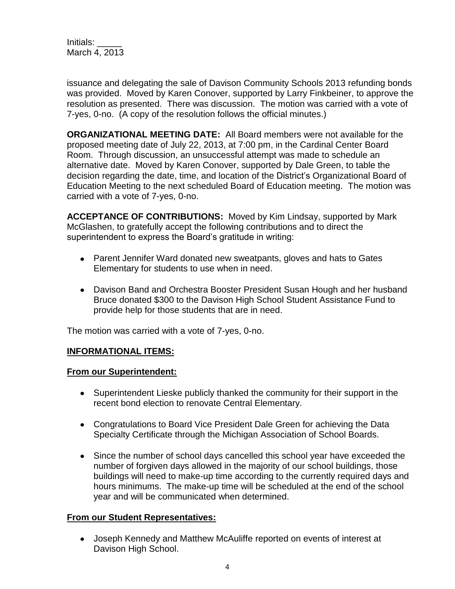issuance and delegating the sale of Davison Community Schools 2013 refunding bonds was provided. Moved by Karen Conover, supported by Larry Finkbeiner, to approve the resolution as presented. There was discussion. The motion was carried with a vote of 7-yes, 0-no. (A copy of the resolution follows the official minutes.)

**ORGANIZATIONAL MEETING DATE:** All Board members were not available for the proposed meeting date of July 22, 2013, at 7:00 pm, in the Cardinal Center Board Room. Through discussion, an unsuccessful attempt was made to schedule an alternative date. Moved by Karen Conover, supported by Dale Green, to table the decision regarding the date, time, and location of the District's Organizational Board of Education Meeting to the next scheduled Board of Education meeting. The motion was carried with a vote of 7-yes, 0-no.

**ACCEPTANCE OF CONTRIBUTIONS:** Moved by Kim Lindsay, supported by Mark McGlashen, to gratefully accept the following contributions and to direct the superintendent to express the Board's gratitude in writing:

- Parent Jennifer Ward donated new sweatpants, gloves and hats to Gates Elementary for students to use when in need.
- Davison Band and Orchestra Booster President Susan Hough and her husband Bruce donated \$300 to the Davison High School Student Assistance Fund to provide help for those students that are in need.

The motion was carried with a vote of 7-yes, 0-no.

# **INFORMATIONAL ITEMS:**

#### **From our Superintendent:**

- Superintendent Lieske publicly thanked the community for their support in the recent bond election to renovate Central Elementary.
- Congratulations to Board Vice President Dale Green for achieving the Data Specialty Certificate through the Michigan Association of School Boards.
- Since the number of school days cancelled this school year have exceeded the number of forgiven days allowed in the majority of our school buildings, those buildings will need to make-up time according to the currently required days and hours minimums. The make-up time will be scheduled at the end of the school year and will be communicated when determined.

# **From our Student Representatives:**

Joseph Kennedy and Matthew McAuliffe reported on events of interest at Davison High School.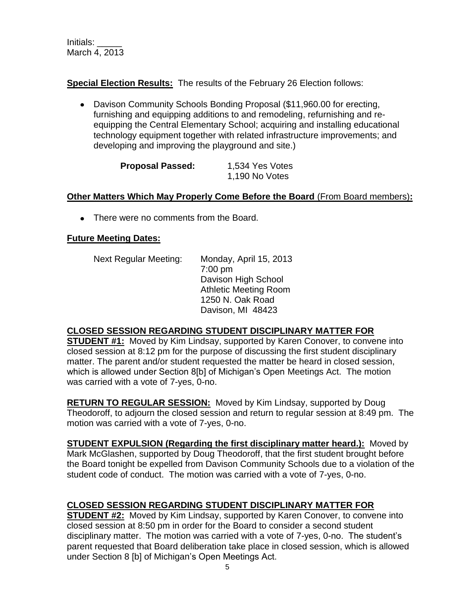**Special Election Results:** The results of the February 26 Election follows:

Davison Community Schools Bonding Proposal (\$11,960.00 for erecting, furnishing and equipping additions to and remodeling, refurnishing and reequipping the Central Elementary School; acquiring and installing educational technology equipment together with related infrastructure improvements; and developing and improving the playground and site.)

| <b>Proposal Passed:</b> | 1,534 Yes Votes |
|-------------------------|-----------------|
|                         | 1,190 No Votes  |

#### **Other Matters Which May Properly Come Before the Board** (From Board members)**:**

• There were no comments from the Board.

#### **Future Meeting Dates:**

Next Regular Meeting: Monday, April 15, 2013 7:00 pm Davison High School Athletic Meeting Room 1250 N. Oak Road Davison, MI 48423

# **CLOSED SESSION REGARDING STUDENT DISCIPLINARY MATTER FOR**

**STUDENT #1:** Moved by Kim Lindsay, supported by Karen Conover, to convene into closed session at 8:12 pm for the purpose of discussing the first student disciplinary matter. The parent and/or student requested the matter be heard in closed session, which is allowed under Section 8[b] of Michigan's Open Meetings Act. The motion was carried with a vote of 7-yes, 0-no.

**RETURN TO REGULAR SESSION:** Moved by Kim Lindsay, supported by Doug Theodoroff, to adjourn the closed session and return to regular session at 8:49 pm. The motion was carried with a vote of 7-yes, 0-no.

**STUDENT EXPULSION (Regarding the first disciplinary matter heard.):** Moved by Mark McGlashen, supported by Doug Theodoroff, that the first student brought before the Board tonight be expelled from Davison Community Schools due to a violation of the student code of conduct. The motion was carried with a vote of 7-yes, 0-no.

# **CLOSED SESSION REGARDING STUDENT DISCIPLINARY MATTER FOR**

**STUDENT #2:** Moved by Kim Lindsay, supported by Karen Conover, to convene into closed session at 8:50 pm in order for the Board to consider a second student disciplinary matter. The motion was carried with a vote of 7-yes, 0-no. The student's parent requested that Board deliberation take place in closed session, which is allowed under Section 8 [b] of Michigan's Open Meetings Act.